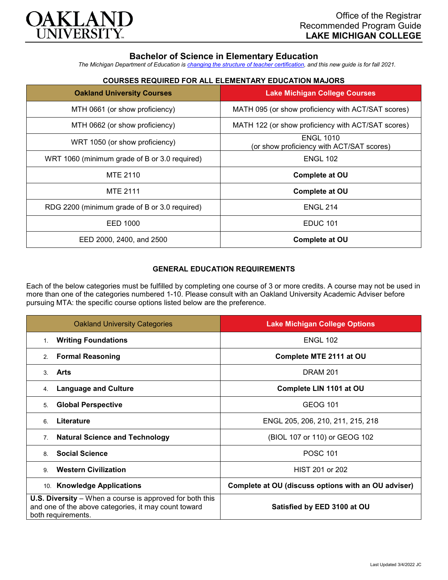

# **Bachelor of Science in Elementary Education**

*The Michigan Department of Education is [changing the structure of teacher certification,](https://docs.google.com/document/d/1W1uUK14Njx6WAB56T4jHbat65OZyg6TS04LdNWMXEcI/edit) and this new guide is for fall 2021.*

## **COURSES REQUIRED FOR ALL ELEMENTARY EDUCATION MAJORS**

| <b>Oakland University Courses</b>             | <b>Lake Michigan College Courses</b>                          |
|-----------------------------------------------|---------------------------------------------------------------|
| MTH 0661 (or show proficiency)                | MATH 095 (or show proficiency with ACT/SAT scores)            |
| MTH 0662 (or show proficiency)                | MATH 122 (or show proficiency with ACT/SAT scores)            |
| WRT 1050 (or show proficiency)                | <b>ENGL 1010</b><br>(or show proficiency with ACT/SAT scores) |
| WRT 1060 (minimum grade of B or 3.0 required) | <b>ENGL 102</b>                                               |
| MTE 2110                                      | <b>Complete at OU</b>                                         |
| <b>MTE 2111</b>                               | Complete at OU                                                |
| RDG 2200 (minimum grade of B or 3.0 required) | <b>ENGL 214</b>                                               |
| EED 1000                                      | <b>EDUC 101</b>                                               |
| EED 2000, 2400, and 2500                      | Complete at OU                                                |

### **GENERAL EDUCATION REQUIREMENTS**

Each of the below categories must be fulfilled by completing one course of 3 or more credits. A course may not be used in more than one of the categories numbered 1-10. Please consult with an Oakland University Academic Adviser before pursuing MTA: the specific course options listed below are the preference.

| <b>Oakland University Categories</b>                                                                                                          | <b>Lake Michigan College Options</b>                |
|-----------------------------------------------------------------------------------------------------------------------------------------------|-----------------------------------------------------|
| <b>Writing Foundations</b><br>$1_{-}$                                                                                                         | <b>ENGL 102</b>                                     |
| <b>Formal Reasoning</b><br>2.                                                                                                                 | Complete MTE 2111 at OU                             |
| Arts<br>3                                                                                                                                     | <b>DRAM 201</b>                                     |
| <b>Language and Culture</b><br>4.                                                                                                             | Complete LIN 1101 at OU                             |
| <b>Global Perspective</b><br>5.                                                                                                               | <b>GEOG 101</b>                                     |
| Literature<br>6                                                                                                                               | ENGL 205, 206, 210, 211, 215, 218                   |
| <b>Natural Science and Technology</b><br>7.                                                                                                   | (BIOL 107 or 110) or GEOG 102                       |
| <b>Social Science</b><br>8                                                                                                                    | <b>POSC 101</b>                                     |
| <b>Western Civilization</b><br>9                                                                                                              | HIST 201 or 202                                     |
| 10. Knowledge Applications                                                                                                                    | Complete at OU (discuss options with an OU adviser) |
| <b>U.S. Diversity</b> – When a course is approved for both this<br>and one of the above categories, it may count toward<br>both requirements. | Satisfied by EED 3100 at OU                         |